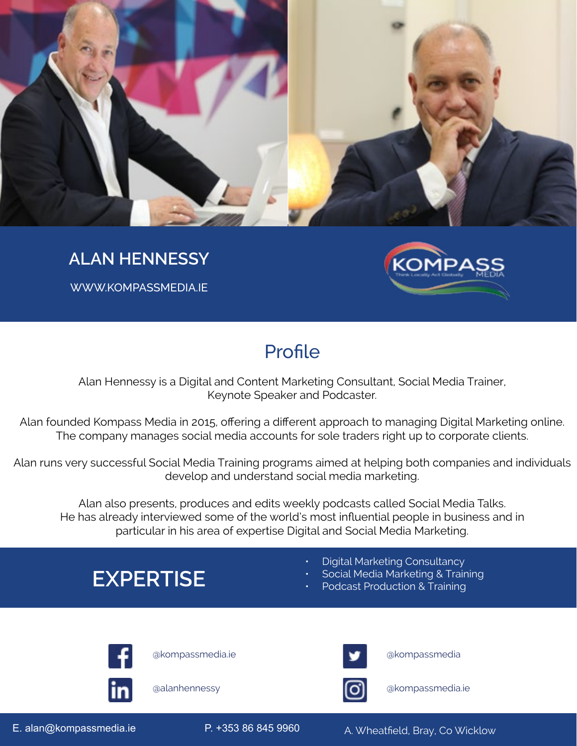

### **ALAN HENNESSY**

WWW.KOMPASSMEDIA.IE



## **Profile**

Alan Hennessy is a Digital and Content Marketing Consultant, Social Media Trainer, Keynote Speaker and Podcaster.

Alan founded Kompass Media in 2015, offering a different approach to managing Digital Marketing online. The company manages social media accounts for sole traders right up to corporate clients.

Alan runs very successful Social Media Training programs aimed at helping both companies and individuals develop and understand social media marketing.

Alan also presents, produces and edits weekly podcasts called Social Media Talks. He has already interviewed some of the world's most influential people in business and in particular in his area of expertise Digital and Social Media Marketing.

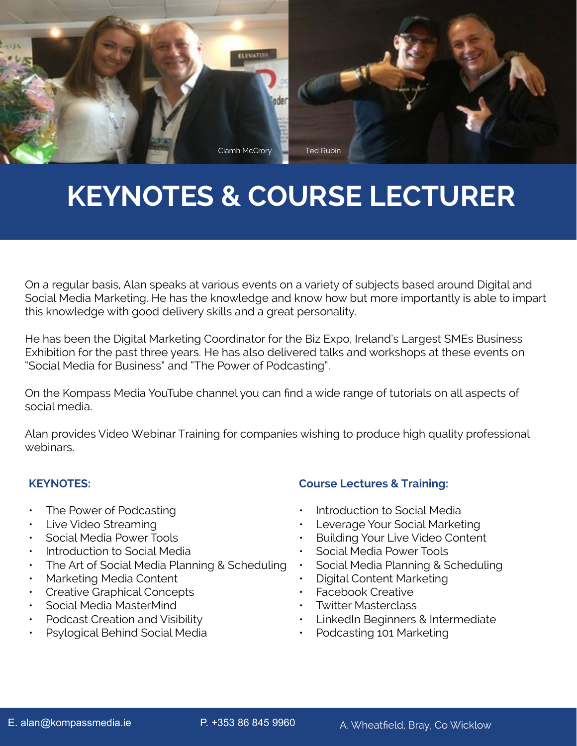

# **KEYNOTES & COURSE LECTURER**

On a regular basis, Alan speaks at various events on a variety of subjects based around Digital and Social Media Marketing. He has the knowledge and know how but more importantly is able to impart this knowledge with good delivery skills and a great personality.

He has been the Digital Marketing Coordinator for the Biz Expo, Ireland's Largest SMEs Business Exhibition for the past three years. He has also delivered talks and workshops at these events on "Social Media for Business" and "The Power of Podcasting".

On the Kompass Media YouTube channel you can find a wide range of tutorials on all aspects of social media.

Alan provides Video Webinar Training for companies wishing to produce high quality professional webinars.

#### **KEYNOTES:**

- The Power of Podcasting
- Live Video Streaming
- Social Media Power Tools
- Introduction to Social Media
- The Art of Social Media Planning & Scheduling
- Marketing Media Content
- Creative Graphical Concepts
- Social Media MasterMind
- Podcast Creation and Visibility
- Psylogical Behind Social Media

#### **Course Lectures & Training:**

- Introduction to Social Media
- Leverage Your Social Marketing
- Building Your Live Video Content
- Social Media Power Tools
- Social Media Planning & Scheduling
- Digital Content Marketing
- Facebook Creative
- Twitter Masterclass
- LinkedIn Beginners & Intermediate
- Podcasting 101 Marketing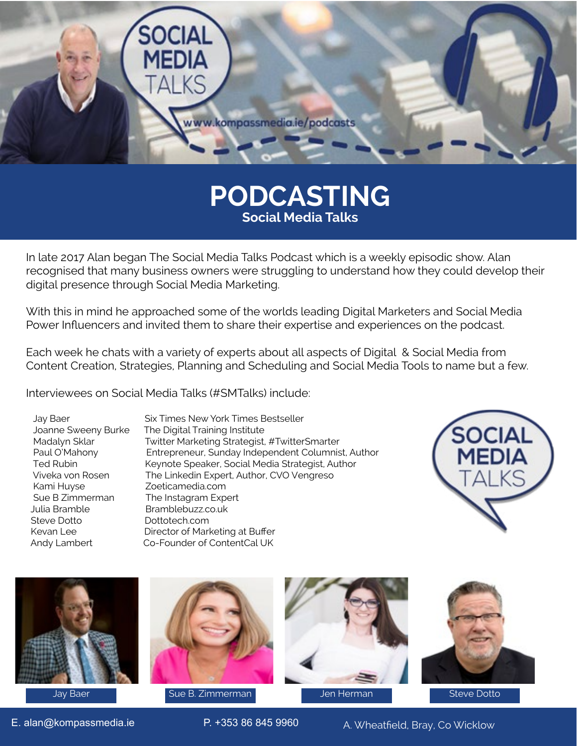

## **PODCASTING Social Media Talks**

In late 2017 Alan began The Social Media Talks Podcast which is a weekly episodic show. Alan recognised that many business owners were struggling to understand how they could develop their digital presence through Social Media Marketing.

With this in mind he approached some of the worlds leading Digital Marketers and Social Media Power Influencers and invited them to share their expertise and experiences on the podcast.

Each week he chats with a variety of experts about all aspects of Digital & Social Media from Content Creation, Strategies, Planning and Scheduling and Social Media Tools to name but a few.

Interviewees on Social Media Talks (#SMTalks) include:

 Kami Huyse Zoeticamedia.com Sue B Zimmerman The Instagram Expert<br>
Julia Bramble<br>
Bramblebuzz.co.uk Steve Dotto **Dottotech.com** 

 Jay Baer Six Times New York Times Bestseller Joanne Sweeny Burke The Digital Training Institute<br>Madalyn Sklar Twitter Marketing Strategist, Madalyn Sklar Twitter Marketing Strategist, #TwitterSmarter<br>
Paul O'Mahony Entrepreneur, Sunday Independent Columnis Entrepreneur, Sunday Independent Columnist, Author Ted Rubin Keynote Speaker, Social Media Strategist, Author Viveka von Rosen The Linkedin Expert, Author, CVO Vengreso Bramblebuzz.co.uk Kevan Lee **Director of Marketing at Buffer** Andy Lambert Co-Founder of ContentCal UK







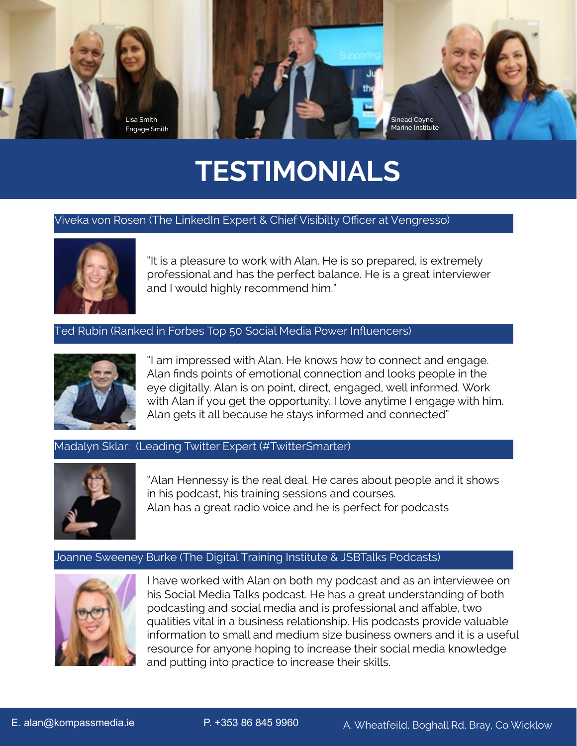

# **TESTIMONIALS**

#### Viveka von Rosen (The LinkedIn Expert & Chief Visibilty Officer at Vengresso)



"It is a pleasure to work with Alan. He is so prepared, is extremely professional and has the perfect balance. He is a great interviewer and I would highly recommend him."

#### Ted Rubin (Ranked in Forbes Top 50 Social Media Power Influencers)



"I am impressed with Alan. He knows how to connect and engage. Alan finds points of emotional connection and looks people in the eye digitally. Alan is on point, direct, engaged, well informed. Work with Alan if you get the opportunity. I love anytime I engage with him. Alan gets it all because he stays informed and connected"

#### Madalyn Sklar: (Leading Twitter Expert (#TwitterSmarter)



"Alan Hennessy is the real deal. He cares about people and it shows in his podcast, his training sessions and courses. Alan has a great radio voice and he is perfect for podcasts

#### Joanne Sweeney Burke (The Digital Training Institute & JSBTalks Podcasts)



I have worked with Alan on both my podcast and as an interviewee on his Social Media Talks podcast. He has a great understanding of both podcasting and social media and is professional and affable, two qualities vital in a business relationship. His podcasts provide valuable information to small and medium size business owners and it is a useful resource for anyone hoping to increase their social media knowledge and putting into practice to increase their skills.